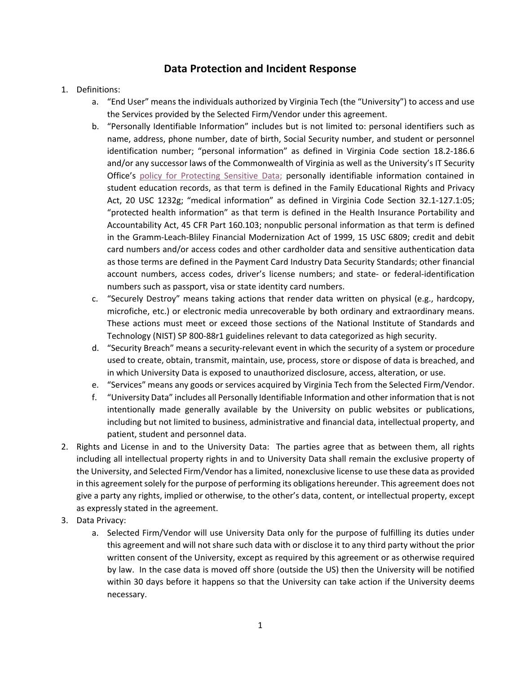## **Data Protection and Incident Response**

## 1. Definitions:

- a. "End User" means the individuals authorized by Virginia Tech (the "University") to access and use the Services provided by the Selected Firm/Vendor under this agreement.
- b. "Personally Identifiable Information" includes but is not limited to: personal identifiers such as name, address, phone number, date of birth, Social Security number, and student or personnel identification number; "personal information" as defined in Virginia Code section 18.2‐186.6 and/or any successor laws of the Commonwealth of Virginia as well as the University's IT Security Office's policy for Protecting Sensitive Data; personally identifiable information contained in student education records, as that term is defined in the Family Educational Rights and Privacy Act, 20 USC 1232g; "medical information" as defined in Virginia Code Section 32.1‐127.1:05; "protected health information" as that term is defined in the Health Insurance Portability and Accountability Act, 45 CFR Part 160.103; nonpublic personal information as that term is defined in the Gramm‐Leach‐Bliley Financial Modernization Act of 1999, 15 USC 6809; credit and debit card numbers and/or access codes and other cardholder data and sensitive authentication data as those terms are defined in the Payment Card Industry Data Security Standards; other financial account numbers, access codes, driver's license numbers; and state‐ or federal‐identification numbers such as passport, visa or state identity card numbers.
- c. "Securely Destroy" means taking actions that render data written on physical (e.g., hardcopy, microfiche, etc.) or electronic media unrecoverable by both ordinary and extraordinary means. These actions must meet or exceed those sections of the National Institute of Standards and Technology (NIST) SP 800‐88r1 guidelines relevant to data categorized as high security.
- d. "Security Breach" means a security-relevant event in which the security of a system or procedure used to create, obtain, transmit, maintain, use, process, store or dispose of data is breached, and in which University Data is exposed to unauthorized disclosure, access, alteration, or use.
- e. "Services" means any goods or services acquired by Virginia Tech from the Selected Firm/Vendor.
- f. "University Data" includes all Personally Identifiable Information and other information that is not intentionally made generally available by the University on public websites or publications, including but not limited to business, administrative and financial data, intellectual property, and patient, student and personnel data.
- 2. Rights and License in and to the University Data: The parties agree that as between them, all rights including all intellectual property rights in and to University Data shall remain the exclusive property of the University, and Selected Firm/Vendor has a limited, nonexclusive license to use these data as provided in this agreement solely for the purpose of performing its obligations hereunder. This agreement does not give a party any rights, implied or otherwise, to the other's data, content, or intellectual property, except as expressly stated in the agreement.
- 3. Data Privacy:
	- a. Selected Firm/Vendor will use University Data only for the purpose of fulfilling its duties under this agreement and will not share such data with or disclose it to any third party without the prior written consent of the University, except as required by this agreement or as otherwise required by law. In the case data is moved off shore (outside the US) then the University will be notified within 30 days before it happens so that the University can take action if the University deems necessary.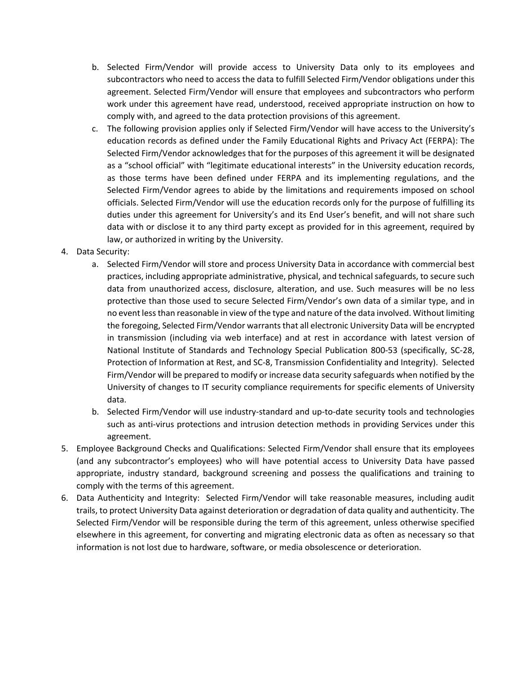- b. Selected Firm/Vendor will provide access to University Data only to its employees and subcontractors who need to access the data to fulfill Selected Firm/Vendor obligations under this agreement. Selected Firm/Vendor will ensure that employees and subcontractors who perform work under this agreement have read, understood, received appropriate instruction on how to comply with, and agreed to the data protection provisions of this agreement.
- c. The following provision applies only if Selected Firm/Vendor will have access to the University's education records as defined under the Family Educational Rights and Privacy Act (FERPA): The Selected Firm/Vendor acknowledges that for the purposes of this agreement it will be designated as a "school official" with "legitimate educational interests" in the University education records, as those terms have been defined under FERPA and its implementing regulations, and the Selected Firm/Vendor agrees to abide by the limitations and requirements imposed on school officials. Selected Firm/Vendor will use the education records only for the purpose of fulfilling its duties under this agreement for University's and its End User's benefit, and will not share such data with or disclose it to any third party except as provided for in this agreement, required by law, or authorized in writing by the University.
- 4. Data Security:
	- a. Selected Firm/Vendor will store and process University Data in accordance with commercial best practices, including appropriate administrative, physical, and technical safeguards, to secure such data from unauthorized access, disclosure, alteration, and use. Such measures will be no less protective than those used to secure Selected Firm/Vendor's own data of a similar type, and in no event lessthan reasonable in view of the type and nature of the data involved. Without limiting the foregoing, Selected Firm/Vendor warrants that all electronic University Data will be encrypted in transmission (including via web interface) and at rest in accordance with latest version of National Institute of Standards and Technology Special Publication 800‐53 (specifically, SC‐28, Protection of Information at Rest, and SC‐8, Transmission Confidentiality and Integrity). Selected Firm/Vendor will be prepared to modify or increase data security safeguards when notified by the University of changes to IT security compliance requirements for specific elements of University data.
	- b. Selected Firm/Vendor will use industry‐standard and up‐to‐date security tools and technologies such as anti-virus protections and intrusion detection methods in providing Services under this agreement.
- 5. Employee Background Checks and Qualifications: Selected Firm/Vendor shall ensure that its employees (and any subcontractor's employees) who will have potential access to University Data have passed appropriate, industry standard, background screening and possess the qualifications and training to comply with the terms of this agreement.
- 6. Data Authenticity and Integrity: Selected Firm/Vendor will take reasonable measures, including audit trails, to protect University Data against deterioration or degradation of data quality and authenticity. The Selected Firm/Vendor will be responsible during the term of this agreement, unless otherwise specified elsewhere in this agreement, for converting and migrating electronic data as often as necessary so that information is not lost due to hardware, software, or media obsolescence or deterioration.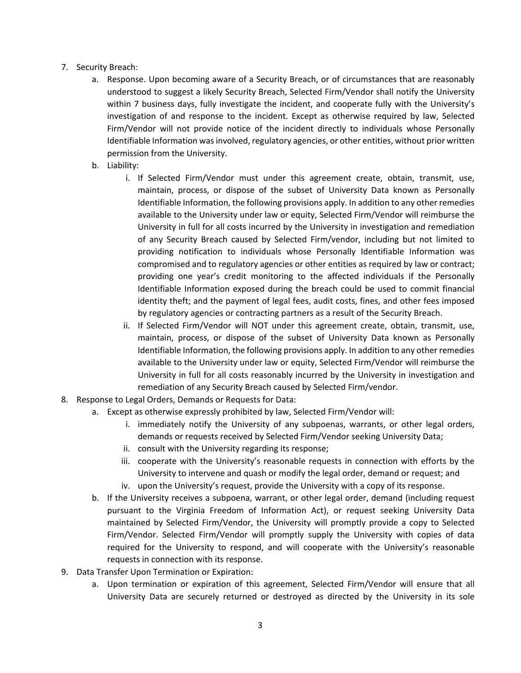- 7. Security Breach:
	- a. Response. Upon becoming aware of a Security Breach, or of circumstances that are reasonably understood to suggest a likely Security Breach, Selected Firm/Vendor shall notify the University within 7 business days, fully investigate the incident, and cooperate fully with the University's investigation of and response to the incident. Except as otherwise required by law, Selected Firm/Vendor will not provide notice of the incident directly to individuals whose Personally Identifiable Information was involved, regulatory agencies, or other entities, without prior written permission from the University.
	- b. Liability:
		- i. If Selected Firm/Vendor must under this agreement create, obtain, transmit, use, maintain, process, or dispose of the subset of University Data known as Personally Identifiable Information, the following provisions apply. In addition to any other remedies available to the University under law or equity, Selected Firm/Vendor will reimburse the University in full for all costs incurred by the University in investigation and remediation of any Security Breach caused by Selected Firm/vendor, including but not limited to providing notification to individuals whose Personally Identifiable Information was compromised and to regulatory agencies or other entities as required by law or contract; providing one year's credit monitoring to the affected individuals if the Personally Identifiable Information exposed during the breach could be used to commit financial identity theft; and the payment of legal fees, audit costs, fines, and other fees imposed by regulatory agencies or contracting partners as a result of the Security Breach.
		- ii. If Selected Firm/Vendor will NOT under this agreement create, obtain, transmit, use, maintain, process, or dispose of the subset of University Data known as Personally Identifiable Information, the following provisions apply. In addition to any other remedies available to the University under law or equity, Selected Firm/Vendor will reimburse the University in full for all costs reasonably incurred by the University in investigation and remediation of any Security Breach caused by Selected Firm/vendor.
- 8. Response to Legal Orders, Demands or Requests for Data:
	- a. Except as otherwise expressly prohibited by law, Selected Firm/Vendor will:
		- i. immediately notify the University of any subpoenas, warrants, or other legal orders, demands or requests received by Selected Firm/Vendor seeking University Data;
		- ii. consult with the University regarding its response;
		- iii. cooperate with the University's reasonable requests in connection with efforts by the University to intervene and quash or modify the legal order, demand or request; and
		- iv. upon the University's request, provide the University with a copy of its response.
	- b. If the University receives a subpoena, warrant, or other legal order, demand (including request pursuant to the Virginia Freedom of Information Act), or request seeking University Data maintained by Selected Firm/Vendor, the University will promptly provide a copy to Selected Firm/Vendor. Selected Firm/Vendor will promptly supply the University with copies of data required for the University to respond, and will cooperate with the University's reasonable requests in connection with its response.
- 9. Data Transfer Upon Termination or Expiration:
	- a. Upon termination or expiration of this agreement, Selected Firm/Vendor will ensure that all University Data are securely returned or destroyed as directed by the University in its sole